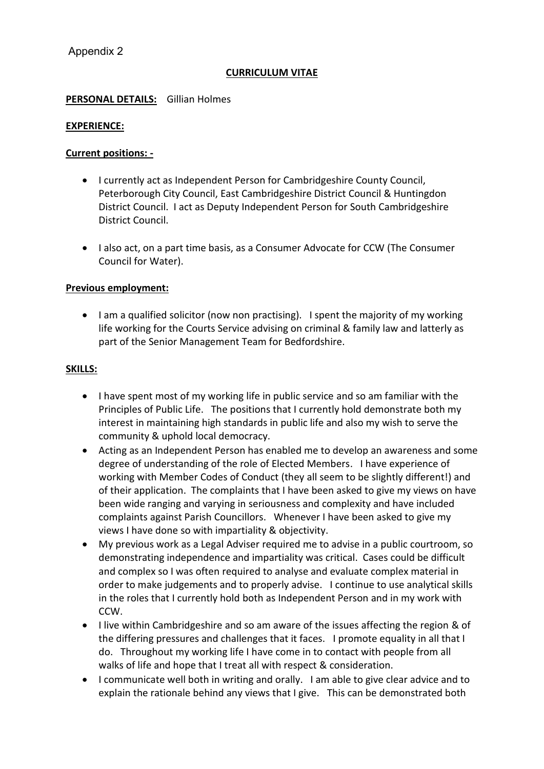# **CURRICULUM VITAE**

## **PERSONAL DETAILS:** Gillian Holmes

### **EXPERIENCE:**

### **Current positions: -**

- I currently act as Independent Person for Cambridgeshire County Council, Peterborough City Council, East Cambridgeshire District Council & Huntingdon District Council. I act as Deputy Independent Person for South Cambridgeshire District Council.
- I also act, on a part time basis, as a Consumer Advocate for CCW (The Consumer Council for Water).

### **Previous employment:**

• I am a qualified solicitor (now non practising). I spent the majority of my working life working for the Courts Service advising on criminal & family law and latterly as part of the Senior Management Team for Bedfordshire.

### **SKILLS:**

- I have spent most of my working life in public service and so am familiar with the Principles of Public Life. The positions that I currently hold demonstrate both my interest in maintaining high standards in public life and also my wish to serve the community & uphold local democracy.
- Acting as an Independent Person has enabled me to develop an awareness and some degree of understanding of the role of Elected Members. I have experience of working with Member Codes of Conduct (they all seem to be slightly different!) and of their application. The complaints that I have been asked to give my views on have been wide ranging and varying in seriousness and complexity and have included complaints against Parish Councillors. Whenever I have been asked to give my views I have done so with impartiality & objectivity.
- My previous work as a Legal Adviser required me to advise in a public courtroom, so demonstrating independence and impartiality was critical. Cases could be difficult and complex so I was often required to analyse and evaluate complex material in order to make judgements and to properly advise. I continue to use analytical skills in the roles that I currently hold both as Independent Person and in my work with CCW.
- I live within Cambridgeshire and so am aware of the issues affecting the region & of the differing pressures and challenges that it faces. I promote equality in all that I do. Throughout my working life I have come in to contact with people from all walks of life and hope that I treat all with respect & consideration.
- I communicate well both in writing and orally. I am able to give clear advice and to explain the rationale behind any views that I give. This can be demonstrated both